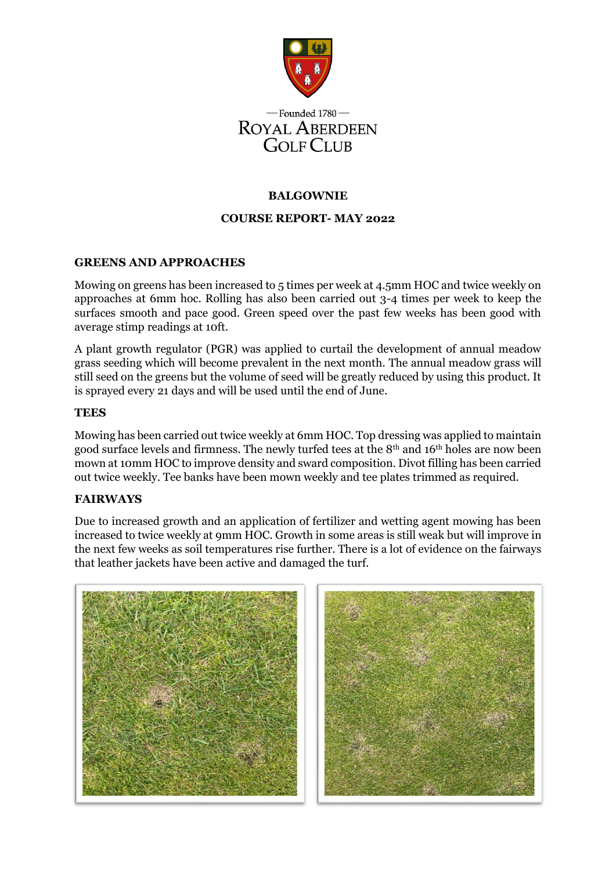

# **BALGOWNIE**

# **COURSE REPORT- MAY 2022**

# **GREENS AND APPROACHES**

Mowing on greens has been increased to 5 times per week at 4.5mm HOC and twice weekly on approaches at 6mm hoc. Rolling has also been carried out 3-4 times per week to keep the surfaces smooth and pace good. Green speed over the past few weeks has been good with average stimp readings at 10ft.

A plant growth regulator (PGR) was applied to curtail the development of annual meadow grass seeding which will become prevalent in the next month. The annual meadow grass will still seed on the greens but the volume of seed will be greatly reduced by using this product. It is sprayed every 21 days and will be used until the end of June.

## **TEES**

Mowing has been carried out twice weekly at 6mm HOC. Top dressing was applied to maintain good surface levels and firmness. The newly turfed tees at the 8th and 16th holes are now been mown at 10mm HOC to improve density and sward composition. Divot filling has been carried out twice weekly. Tee banks have been mown weekly and tee plates trimmed as required.

# **FAIRWAYS**

Due to increased growth and an application of fertilizer and wetting agent mowing has been increased to twice weekly at 9mm HOC. Growth in some areas is still weak but will improve in the next few weeks as soil temperatures rise further. There is a lot of evidence on the fairways that leather jackets have been active and damaged the turf.



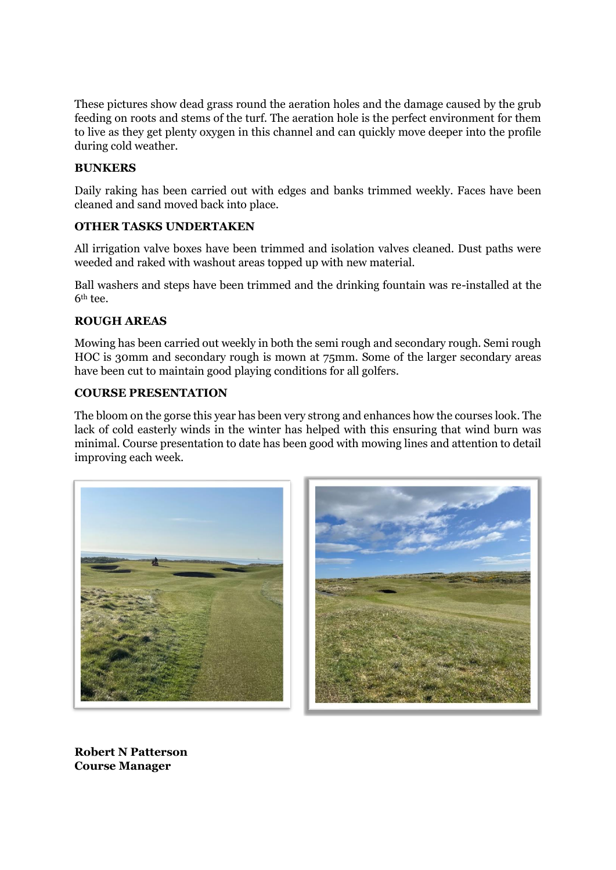These pictures show dead grass round the aeration holes and the damage caused by the grub feeding on roots and stems of the turf. The aeration hole is the perfect environment for them to live as they get plenty oxygen in this channel and can quickly move deeper into the profile during cold weather.

## **BUNKERS**

Daily raking has been carried out with edges and banks trimmed weekly. Faces have been cleaned and sand moved back into place.

## **OTHER TASKS UNDERTAKEN**

All irrigation valve boxes have been trimmed and isolation valves cleaned. Dust paths were weeded and raked with washout areas topped up with new material.

Ball washers and steps have been trimmed and the drinking fountain was re-installed at the 6th tee.

# **ROUGH AREAS**

Mowing has been carried out weekly in both the semi rough and secondary rough. Semi rough HOC is 30mm and secondary rough is mown at 75mm. Some of the larger secondary areas have been cut to maintain good playing conditions for all golfers.

#### **COURSE PRESENTATION**

The bloom on the gorse this year has been very strong and enhances how the courses look. The lack of cold easterly winds in the winter has helped with this ensuring that wind burn was minimal. Course presentation to date has been good with mowing lines and attention to detail improving each week.





**Robert N Patterson Course Manager**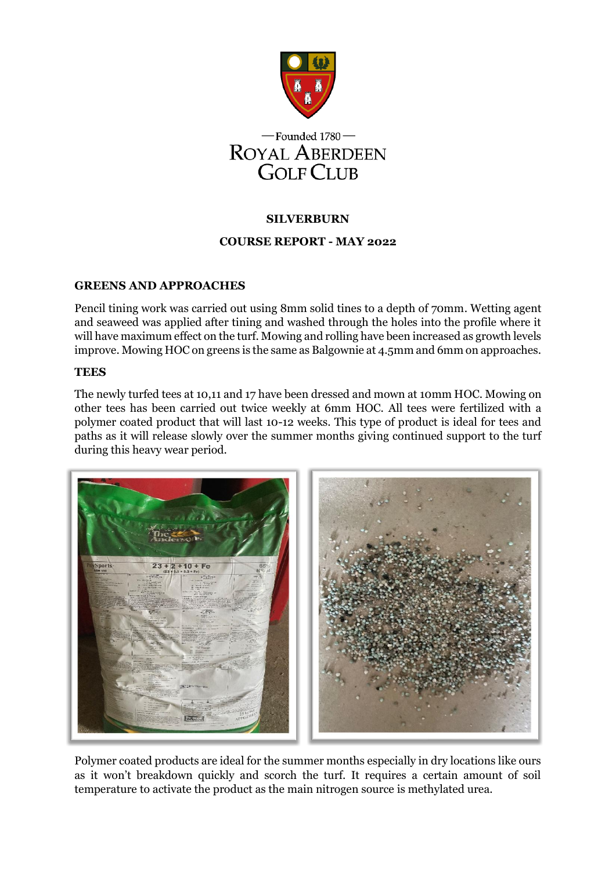



# **SILVERBURN**

# **COURSE REPORT - MAY 2022**

# **GREENS AND APPROACHES**

Pencil tining work was carried out using 8mm solid tines to a depth of 70mm. Wetting agent and seaweed was applied after tining and washed through the holes into the profile where it will have maximum effect on the turf. Mowing and rolling have been increased as growth levels improve. Mowing HOC on greens is the same as Balgownie at 4.5mm and 6mm on approaches.

#### **TEES**

The newly turfed tees at 10,11 and 17 have been dressed and mown at 10mm HOC. Mowing on other tees has been carried out twice weekly at 6mm HOC. All tees were fertilized with a polymer coated product that will last 10-12 weeks. This type of product is ideal for tees and paths as it will release slowly over the summer months giving continued support to the turf during this heavy wear period.



Polymer coated products are ideal for the summer months especially in dry locations like ours as it won't breakdown quickly and scorch the turf. It requires a certain amount of soil temperature to activate the product as the main nitrogen source is methylated urea.